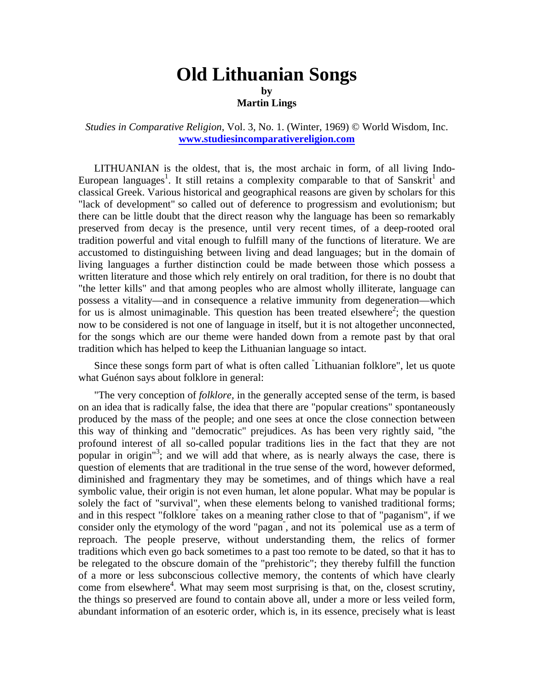## **Old Lithuanian Songs by Martin Lings**

## *Studies in Comparative Religion*, Vol. 3, No. 1. (Winter, 1969) © World Wisdom, Inc. **[www.studiesincomparativereligion.com](http://www.studiesincomparativereligion.com/)**

LITHUANIAN is the oldest, that is, the most archaic in form, of all living Indo-European languages<sup>1</sup>. It still retains a complexity comparable to that of Sanskrit<sup>1</sup> and classical Greek. Various historical and geographical reasons are given by scholars for this "lack of development" so called out of deference to progressism and evolutionism; but there can be little doubt that the direct reason why the language has been so remarkably preserved from decay is the presence, until very recent times, of a deep-rooted oral tradition powerful and vital enough to fulfill many of the functions of literature. We are accustomed to distinguishing between living and dead languages; but in the domain of living languages a further distinction could be made between those which possess a written literature and those which rely entirely on oral tradition, for there is no doubt that "the letter kills" and that among peoples who are almost wholly illiterate, language can possess a vitality—and in consequence a relative immunity from degeneration—which for us is almost unimaginable. This question has been treated elsewhere<sup>2</sup>; the question now to be considered is not one of language in itself, but it is not altogether unconnected, for the songs which are our theme were handed down from a remote past by that oral tradition which has helped to keep the Lithuanian language so intact.

Since these songs form part of what is often called " Lithuanian folklore", let us quote what Guénon says about folklore in general:

"The very conception of *folklore,* in the generally accepted sense of the term, is based on an idea that is radically false, the idea that there are "popular creations" spontaneously produced by the mass of the people; and one sees at once the close connection between this way of thinking and "democratic" prejudices. As has been very rightly said, "the profound interest of all so-called popular traditions lies in the fact that they are not popular in origin<sup>13</sup>; and we will add that where, as is nearly always the case, there is question of elements that are traditional in the true sense of the word, however deformed, diminished and fragmentary they may be sometimes, and of things which have a real symbolic value, their origin is not even human, let alone popular. What may be popular is solely the fact of "survival", when these elements belong to vanished traditional forms; and in this respect "folklore<sup>"</sup> takes on a meaning rather close to that of "paganism", if we consider only the etymology of the word "pagan", and not its "polemical" use as a term of reproach. The people preserve, without understanding them, the relics of former traditions which even go back sometimes to a past too remote to be dated, so that it has to be relegated to the obscure domain of the "prehistoric"; they thereby fulfill the function of a more or less subconscious collective memory, the contents of which have clearly come from elsewhere<sup>4</sup>. What may seem most surprising is that, on the, closest scrutiny, the things so preserved are found to contain above all, under a more or less veiled form, abundant information of an esoteric order, which is, in its essence, precisely what is least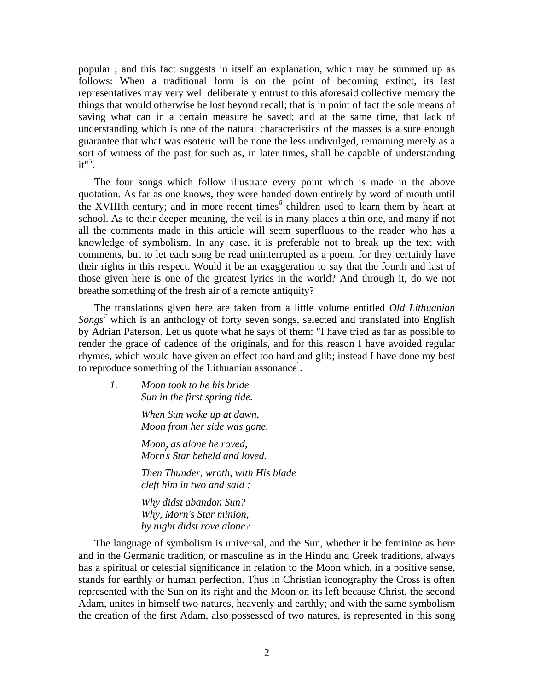popular ; and this fact suggests in itself an explanation, which may be summed up as follows: When a traditional form is on the point of becoming extinct, its last representatives may very well deliberately entrust to this aforesaid collective memory the things that would otherwise be lost beyond recall; that is in point of fact the sole means of saving what can in a certain measure be saved; and at the same time, that lack of understanding which is one of the natural characteristics of the masses is a sure enough guarantee that what was esoteric will be none the less undivulged, remaining merely as a sort of witness of the past for such as, in later times, shall be capable of understanding  $it"$ <sup>5</sup>.

The four songs which follow illustrate every point which is made in the above quotation. As far as one knows, they were handed down entirely by word of mouth until the XVIIIth century; and in more recent times $<sup>6</sup>$  $<sup>6</sup>$  $<sup>6</sup>$  children used to learn them by heart at</sup> school. As to their deeper meaning, the veil is in many places a thin one, and many if not all the comments made in this article will seem superfluous to the reader who has a knowledge of symbolism. In any case, it is preferable not to break up the text with comments, but to let each song be read uninterrupted as a poem, for they certainly have their rights in this respect. Would it be an exaggeration to say that the fourth and last of those given here is one of the greatest lyrics in the world? And through it, do we not breathe something of the fresh air of a remote antiquity?

The translations given here are taken from a little volume entitled *Old Lithuanian Songs[7](#page-8-6)* which is an anthology of forty seven songs, selected and translated into English by Adrian Paterson. Let us quote what he says of them: "I have tried as far as possible to render the grace of cadence of the originals, and for this reason I have avoided regular rhymes, which would have given an effect too hard and glib; instead I have done my best to reproduce something of the Lithuanian assonance" .

*1. Moon took to be his bride Sun in the first spring tide.* 

> *When Sun woke up at dawn, Moon from her side was gone.*

> *Moon, as alone he roved, Morn' s Star beheld and loved.*

*Then Thunder, wroth, with His blade cleft him in two and said :* 

*Why didst abandon Sun? Why, Morn's Star minion, by night didst rove alone?* 

The language of symbolism is universal, and the Sun, whether it be feminine as here and in the Germanic tradition, or masculine as in the Hindu and Greek traditions, always has a spiritual or celestial significance in relation to the Moon which, in a positive sense, stands for earthly or human perfection. Thus in Christian iconography the Cross is often represented with the Sun on its right and the Moon on its left because Christ, the second Adam, unites in himself two natures, heavenly and earthly; and with the same symbolism the creation of the first Adam, also possessed of two natures, is represented in this song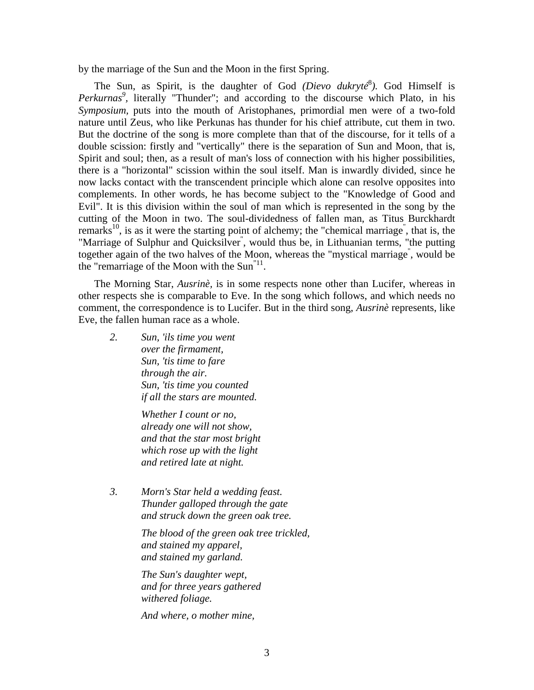by the marriage of the Sun and the Moon in the first Spring.

The Sun, as Spirit, is the daughter of God *(Dievo dukryté*<sup>8</sup>[\)](#page-8-7). God Himself is Perkurnas<sup>9</sup>, literally "Thunder"; and according to the discourse which Plato, in his *Symposium,* puts into the mouth of Aristophanes, primordial men were of a two-fold nature until Zeus, who like Perkunas has thunder for his chief attribute, cut them in two. But the doctrine of the song is more complete than that of the discourse, for it tells of a double scission: firstly and "vertically" there is the separation of Sun and Moon, that is, Spirit and soul; then, as a result of man's loss of connection with his higher possibilities, there is a "horizontal" scission within the soul itself. Man is inwardly divided, since he now lacks contact with the transcendent principle which alone can resolve opposites into complements. In other words, he has become subject to the "Knowledge of Good and Evil". It is this division within the soul of man which is represented in the song by the cutting of the Moon in two. The soul-dividedness of fallen man, as Titus Burckhardt remarks<sup>10</sup>, is as it were the starting point of alchemy; the "chemical marriage<sup>"</sup>, that is, the "Marriage of Sulphur and Quicksilver<sup>"</sup>, would thus be, in Lithuanian terms, "the putting together again of the two halves of the Moon, whereas the "mystical marriage" , would be the "remarriage of the Moon with the Sun<sup>"11</sup>.

The Morning Star, *Ausrinè,* is in some respects none other than Lucifer, whereas in other respects she is comparable to Eve. In the song which follows, and which needs no comment, the correspondence is to Lucifer. But in the third song, *Ausrinè* represents, like Eve, the fallen human race as a whole.

*2. Sun, 'ils time you went over the firmament, Sun, 'tis time to fare through the air. Sun, 'tis time you counted if all the stars are mounted.* 

> *Whether I count or no, already one will not show, and that the star most bright which rose up with the light and retired late at night.*

*3. Morn's Star held a wedding feast. Thunder galloped through the gate and struck down the green oak tree.* 

> *The blood of the green oak tree trickled, and stained my apparel, and stained my garland.*

*The Sun's daughter wept, and for three years gathered withered foliage.* 

*And where, o mother mine,*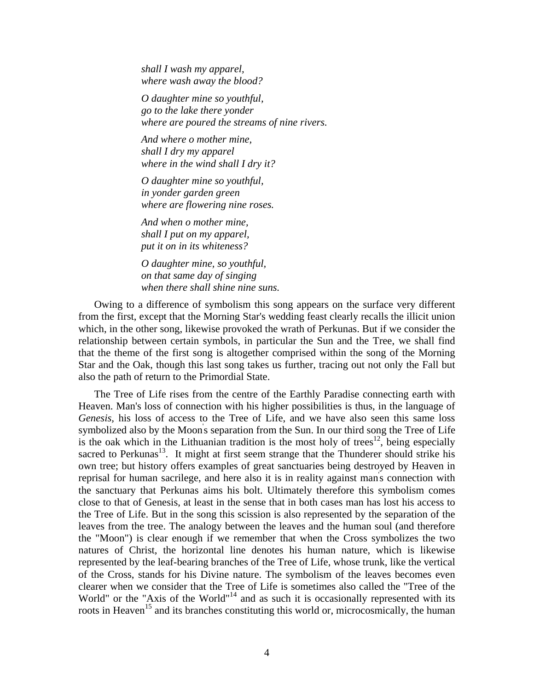*shall I wash my apparel, where wash away the blood?* 

*O daughter mine so youthful, go to the lake there yonder where are poured the streams of nine rivers.* 

*And where o mother mine, shall I dry my apparel where in the wind shall I dry it?* 

*O daughter mine so youthful, in yonder garden green where are flowering nine roses.* 

*And when o mother mine, shall I put on my apparel, put it on in its whiteness?* 

*O daughter mine, so youthful, on that same day of singing when there shall shine nine suns.* 

Owing to a difference of symbolism this song appears on the surface very different from the first, except that the Morning Star's wedding feast clearly recalls the illicit union which, in the other song, likewise provoked the wrath of Perkunas. But if we consider the relationship between certain symbols, in particular the Sun and the Tree, we shall find that the theme of the first song is altogether comprised within the song of the Morning Star and the Oak, though this last song takes us further, tracing out not only the Fall but also the path of return to the Primordial State.

The Tree of Life rises from the centre of the Earthly Paradise connecting earth with Heaven. Man's loss of connection with his higher possibilities is thus, in the language of *Genesis,* his loss of access to the Tree of Life, and we have also seen this same loss symbolized also by the Moon' s separation from the Sun. In our third song the Tree of Life is the oak which in the Lithuanian tradition is the most holy of trees<sup>12</sup>, being especially sacred to Perkunas<sup>13</sup>. It might at first seem strange that the Thunderer should strike his own tree; but history offers examples of great sanctuaries being destroyed by Heaven in reprisal for human sacrilege, and here also it is in reality against man' s connection with the sanctuary that Perkunas aims his bolt. Ultimately therefore this symbolism comes close to that of Genesis, at least in the sense that in both cases man has lost his access to the Tree of Life. But in the song this scission is also represented by the separation of the leaves from the tree. The analogy between the leaves and the human soul (and therefore the "Moon") is clear enough if we remember that when the Cross symbolizes the two natures of Christ, the horizontal line denotes his human nature, which is likewise represented by the leaf-bearing branches of the Tree of Life, whose trunk, like the vertical of the Cross, stands for his Divine nature. The symbolism of the leaves becomes even clearer when we consider that the Tree of Life is sometimes also called the "Tree of the World" or the "Axis of the World"<sup>14</sup> and as such it is occasionally represented with its roots in Heaven<sup>15</sup> and its branches constituting this world or, microcosmically, the human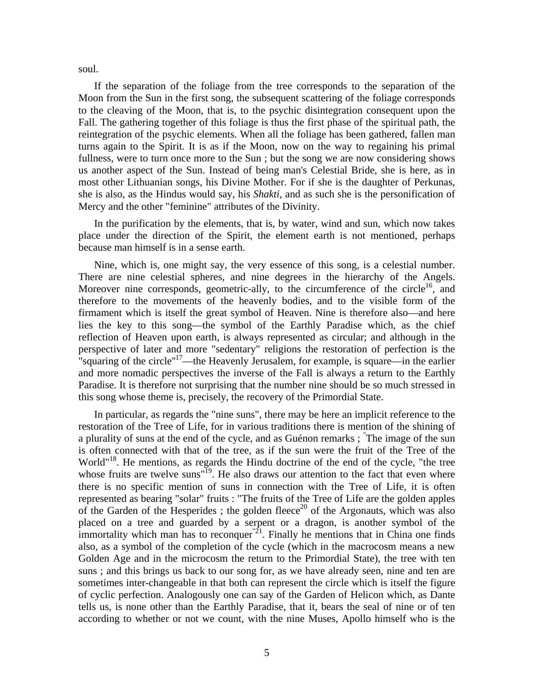soul.

If the separation of the foliage from the tree corresponds to the separation of the Moon from the Sun in the first song, the subsequent scattering of the foliage corresponds to the cleaving of the Moon, that is, to the psychic disintegration consequent upon the Fall. The gathering together of this foliage is thus the first phase of the spiritual path, the reintegration of the psychic elements. When all the foliage has been gathered, fallen man turns again to the Spirit. It is as if the Moon, now on the way to regaining his primal fullness, were to turn once more to the Sun ; but the song we are now considering shows us another aspect of the Sun. Instead of being man's Celestial Bride, she is here, as in most other Lithuanian songs, his Divine Mother. For if she is the daughter of Perkunas, she is also, as the Hindus would say, his *Shakti,* and as such she is the personification of Mercy and the other "feminine" attributes of the Divinity.

In the purification by the elements, that is, by water, wind and sun, which now takes place under the direction of the Spirit, the element earth is not mentioned, perhaps because man himself is in a sense earth.

Nine, which is, one might say, the very essence of this song, is a celestial number. There are nine celestial spheres, and nine degrees in the hierarchy of the Angels. Moreover nine corresponds, geometric-ally, to the circumference of the circle<sup>16</sup>, and therefore to the movements of the heavenly bodies, and to the visible form of the firmament which is itself the great symbol of Heaven. Nine is therefore also—and here lies the key to this song—the symbol of the Earthly Paradise which, as the chief reflection of Heaven upon earth, is always represented as circular; and although in the perspective of later and more "sedentary" religions the restoration of perfection is the "squaring of the circle"<sup>17</sup>—the Heavenly Jerusalem, for example, is square—in the earlier and more nomadic perspectives the inverse of the Fall is always a return to the Earthly Paradise. It is therefore not surprising that the number nine should be so much stressed in this song whose theme is, precisely, the recovery of the Primordial State.

In particular, as regards the "nine suns", there may be here an implicit reference to the restoration of the Tree of Life, for in various traditions there is mention of the shining of a plurality of suns at the end of the cycle, and as Guénon remarks ; " The image of the sun is often connected with that of the tree, as if the sun were the fruit of the Tree of the World"<sup>18</sup>. He mentions, as regards the Hindu doctrine of the end of the cycle, "the tree whose fruits are twelve suns<sup>"19</sup>. He also draws our attention to the fact that even where there is no specific mention of suns in connection with the Tree of Life, it is often represented as bearing "solar" fruits : "The fruits of the Tree of Life are the golden apples of the Garden of the Hesperides ; the golden fleece<sup>20</sup> of the Argonauts, which was also placed on a tree and guarded by a serpent or a dragon, is another symbol of the immortality which man has to reconquer  $\frac{1}{2}$ . Finally he mentions that in China one finds also, as a symbol of the completion of the cycle (which in the macrocosm means a new Golden Age and in the microcosm the return to the Primordial State), the tree with ten suns ; and this brings us back to our song for, as we have already seen, nine and ten are sometimes inter-changeable in that both can represent the circle which is itself the figure of cyclic perfection. Analogously one can say of the Garden of Helicon which, as Dante tells us, is none other than the Earthly Paradise, that it, bears the seal of nine or of ten according to whether or not we count, with the nine Muses, Apollo himself who is the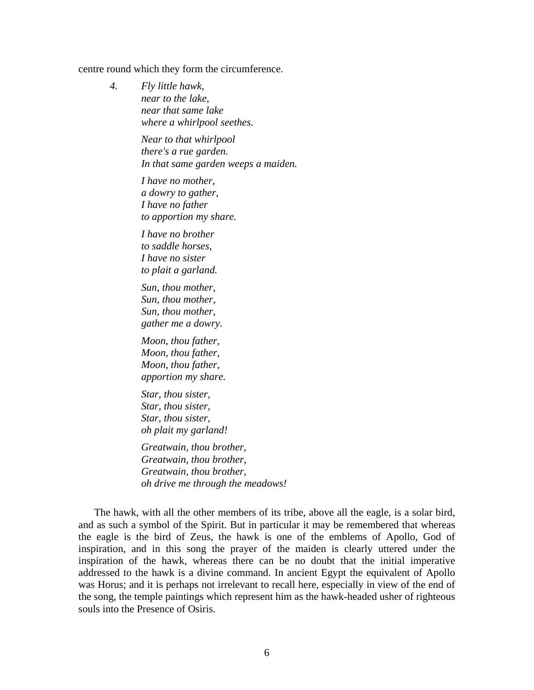## centre round which they form the circumference.

*4. Fly little hawk, near to the lake, near that same lake where a whirlpool seethes.* 

> *Near to that whirlpool there's a rue garden. In that same garden weeps a maiden.*

*I have no mother, a dowry to gather, I have no father to apportion my share.* 

*I have no brother to saddle horses, I have no sister to plait a garland.* 

*Sun, thou mother, Sun, thou mother, Sun, thou mother, gather me a dowry.* 

*Moon, thou father, Moon, thou father, Moon, thou father, apportion my share.* 

*Star, thou sister, Star, thou sister, Star, thou sister, oh plait my garland!* 

*Greatwain, thou brother, Greatwain, thou brother, Greatwain, thou brother, oh drive me through the meadows!* 

The hawk, with all the other members of its tribe, above all the eagle, is a solar bird, and as such a symbol of the Spirit. But in particular it may be remembered that whereas the eagle is the bird of Zeus, the hawk is one of the emblems of Apollo, God of inspiration, and in this song the prayer of the maiden is clearly uttered under the inspiration of the hawk, whereas there can be no doubt that the initial imperative addressed to the hawk is a divine command. In ancient Egypt the equivalent of Apollo was Horus; and it is perhaps not irrelevant to recall here, especially in view of the end of the song, the temple paintings which represent him as the hawk-headed usher of righteous souls into the Presence of Osiris.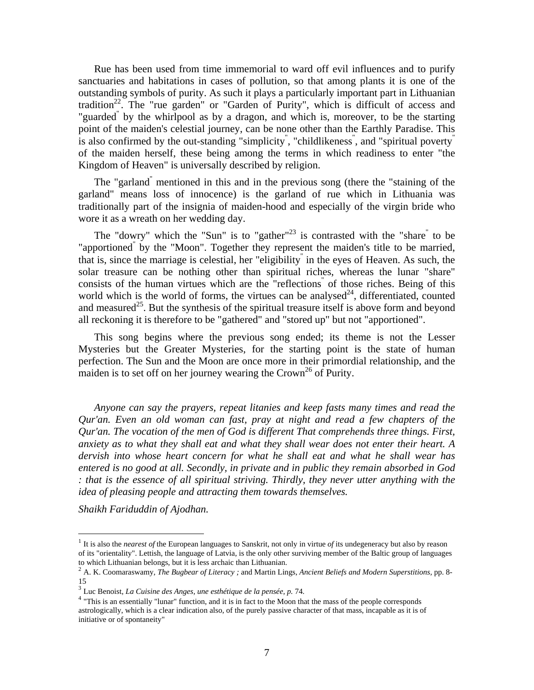Rue has been used from time immemorial to ward off evil influences and to purify sanctuaries and habitations in cases of pollution, so that among plants it is one of the outstanding symbols of purity. As such it plays a particularly important part in Lithuanian tradition<sup>22</sup>. The "rue garden" or "Garden of Purity", which is difficult of access and "guarded<sup>"</sup> by the whirlpool as by a dragon, and which is, moreover, to be the starting point of the maiden's celestial journey, can be none other than the Earthly Paradise. This is also confirmed by the out-standing "simplicity" , "childlikeness" , and "spiritual poverty" of the maiden herself, these being among the terms in which readiness to enter "the Kingdom of Heaven" is universally described by religion.

The "garland" mentioned in this and in the previous song (there the "staining of the garland" means loss of innocence) is the garland of rue which in Lithuania was traditionally part of the insignia of maiden-hood and especially of the virgin bride who wore it as a wreath on her wedding day.

The "dowry" which the "Sun" is to "gather"<sup>23</sup> is contrasted with the "share" to be "apportioned<sup>"</sup> by the "Moon". Together they represent the maiden's title to be married, that is, since the marriage is celestial, her "eligibility" in the eyes of Heaven. As such, the solar treasure can be nothing other than spiritual riches, whereas the lunar "share" consists of the human virtues which are the "reflections<sup>"</sup> of those riches. Being of this world which is the world of forms, the virtues can be analysed<sup>24</sup>, differentiated, counted and measured<sup>25</sup>. But the synthesis of the spiritual treasure itself is above form and beyond all reckoning it is therefore to be "gathered" and "stored up" but not "apportioned".

This song begins where the previous song ended; its theme is not the Lesser Mysteries but the Greater Mysteries, for the starting point is the state of human perfection. The Sun and the Moon are once more in their primordial relationship, and the maiden is to set off on her journey wearing the  $Crown<sup>26</sup>$  of Purity.

*Anyone can say the prayers, repeat litanies and keep fasts many times and read the Qur'an. Even an old woman can fast, pray at night and read a few chapters of the Qur'an. The vocation of the men of God is different That comprehends three things. First, anxiety as to what they shall eat and what they shall wear does not enter their heart. A dervish into whose heart concern for what he shall eat and what he shall wear has entered is no good at all. Secondly, in private and in public they remain absorbed in God : that is the essence of all spiritual striving. Thirdly, they never utter anything with the idea of pleasing people and attracting them towards themselves.*

*Shaikh Fariduddin of Ajodhan.*

1

<sup>&</sup>lt;sup>1</sup> It is also the *nearest of* the European languages to Sanskrit, not only in virtue  $of$  its undegeneracy but also by reason of its "orientality". Lettish, the language of Latvia, is the only other surviving member of the Baltic group of languages to which Lithuanian belongs, but it is less archaic than Lithuanian.<br><sup>2</sup> A. K. Coomaraswamy, *The Bugbear of Literacy*; and Martin Lings, *Ancient Beliefs and Modern Superstitions*, pp. 8-

<sup>15</sup>

<sup>3</sup> Luc Benoist, *La Cuisine des Anges, une esthétique de la pensée, p.* 74.

<sup>&</sup>lt;sup>4</sup> "This is an essentially "lunar" function, and it is in fact to the Moon that the mass of the people corresponds astrologically, which is a clear indication also, of the purely passive character of that mass, incapable as it is of initiative or of spontaneity"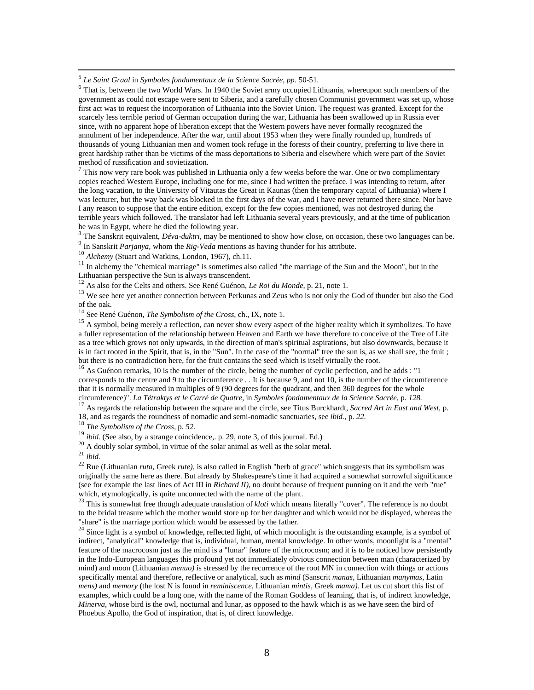5 *Le Saint Graal* in *Symboles fondamentaux de la Science Sacrée, pp.* 50-51.

<sup>6</sup> That is, between the two World Wars. In 1940 the Soviet army occupied Lithuania, whereupon such members of the government as could not escape were sent to Siberia, and a carefully chosen Communist government was set up, whose first act was to request the incorporation of Lithuania into the Soviet Union. The request was granted. Except for the scarcely less terrible period of German occupation during the war, Lithuania has been swallowed up in Russia ever since, with no apparent hope of liberation except that the Western powers have never formally recognized the annulment of her independence. After the war, until about 1953 when they were finally rounded up, hundreds of thousands of young Lithuanian men and women took refuge in the forests of their country, preferring to live there in great hardship rather than be victims of the mass deportations to Siberia and elsewhere which were part of the Soviet method of russification and sovietization.<br><sup>7</sup> This now very rare book was published in Lithuania only a few weeks before the war. One or two complimentary

copies reached Western Europe, including one for me, since I had written the preface. I was intending to return, after the long vacation, to the University of Vitautas the Great in Kaunas (then the temporary capital of Lithuania) where I was lecturer, but the way back was blocked in the first days of the war, and I have never returned there since. Nor have I any reason to suppose that the entire edition, except for the few copies mentioned, was not destroyed during the terrible years which followed. The translator had left Lithuania several years previously, and at the time of publication

he was in Egypt, where he died the following year.<br><sup>8</sup> The Sanskrit equivalent, *Déva-duktri*, may be mentioned to show how close, on occasion, these two languages can be.<br><sup>9</sup> In Sanskrit *Parianya*, whom the *Rig-Veda* m

<sup>10</sup> *Alchemy* (Stuart and Watkins, London, 1967), ch.11.

<sup>11</sup> In alchemy the "chemical marriage" is sometimes also called "the marriage of the Sun and the Moon", but in the Lithuanian perspective the Sun is always transcendent.

<sup>12</sup> As also for the Celts and others. See René Guénon, *Le Roi du Monde*, p. 21, note 1.<br><sup>13</sup> We see here yet another connection between Perkunas and Zeus who is not only the God of thunder but also the God of the oak.

<sup>14</sup> See René Guénon, *The Symbolism of the Cross*, ch., IX, note 1.<br><sup>15</sup> A symbol, being merely a reflection, can never show every aspect of the higher reality which it symbolizes. To have a fuller representation of the relationship between Heaven and Earth we have therefore to conceive of the Tree of Life as a tree which grows not only upwards, in the direction of man's spiritual aspirations, but also downwards, because it is in fact rooted in the Spirit, that is, in the "Sun". In the case of the "normal" tree the sun is, as we shall see, the fruit ; but there is no contradiction here, for the fruit contains the seed which is itself virtually the root.<br><sup>16</sup> As Guénon remarks, 10 is the number of the circle, being the number of cyclic perfection, and he adds : "1

corresponds to the centre and 9 to the circumference . . It is because 9, and not 10, is the number of the circumference that it is normally measured in multiples of 9 (90 degrees for the quadrant, and then 360 degrees for the whole circumference)". La Tétraktys et le Carré de Quatre, in Symboles fondamentaux de la Science Sacrée, p. 128.

<sup>17</sup> As regards the relationship between the square and the circle, see Titus Burckhardt, Sacred Art in East and West, p. 18, and as regards the roundness of nomadic and semi-nomadic sanctuaries, see *ibid.*, p. 22.<sup>18</sup> *The Symbolism of the Cross,* p. 52.<br><sup>19</sup> *ibid.* (See also, by a strange coincidence, .p. 29, note 3, of this journal. Ed.)

<sup>20</sup> A doubly solar symbol, in virtue of the solar animal as well as the solar metal.

<sup>21</sup> *ibid.*

<sup>22</sup> Rue (Lithuanian *ruta,* Greek *rute),* is also called in English "herb of grace" which suggests that its symbolism was originally the same here as there. But already by Shakespeare's time it had acquired a somewhat sorrowful significance (see for example the last lines of Act III in *Richard II)*, no doubt because of frequent punning on it and the verb "rue" which, etymologically, is quite unconnected with the name of the plant.

<sup>23</sup> This is somewhat free though adequate translation of *kloti* which means literally "cover". The reference is no doubt to the bridal treasure which the mother would store up for her daughter and which would not be displayed, whereas the "share" is the marriage portion which would be assessed by the father.<br><sup>24</sup> Since light is a symbol of knowledge, reflected light, of which moonlight is the outstanding example, is a symbol of

indirect, "analytical" knowledge that is, individual, human, mental knowledge. In other words, moonlight is a "mental" feature of the macrocosm just as the mind is a "lunar" feature of the microcosm; and it is to be noticed how persistently in the Indo-European languages this profound yet not immediately obvious connection between man (characterized by mind) and moon (Lithuanian *menuo)* is stressed by the recurrence of the root MN in connection with things or actions specifically mental and therefore, reflective or analytical, such as *mind* (Sanscrit *manas,* Lithuanian *manymas,* Latin *mens)* and *memory* (the lost N is found in *reminiscence,* Lithuanian *mintis,* Greek *mama).* Let us cut short this list of examples, which could be a long one, with the name of the Roman Goddess of learning, that is, of indirect knowledge, *Minerva*, whose bird is the owl, nocturnal and lunar, as opposed to the hawk which is as we have seen the bird of Phoebus Apollo, the God of inspiration, that is, of direct knowledge.